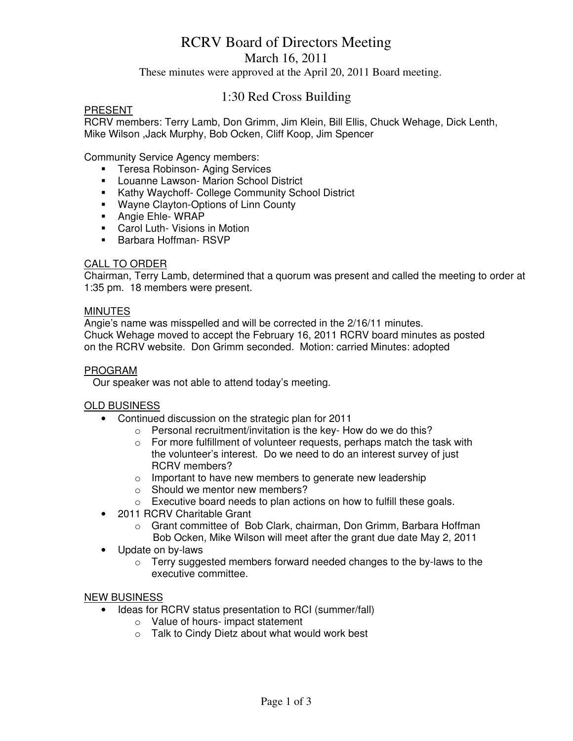# RCRV Board of Directors Meeting

March 16, 2011

These minutes were approved at the April 20, 2011 Board meeting.

# 1:30 Red Cross Building

#### **PRESENT**

RCRV members: Terry Lamb, Don Grimm, Jim Klein, Bill Ellis, Chuck Wehage, Dick Lenth, Mike Wilson ,Jack Murphy, Bob Ocken, Cliff Koop, Jim Spencer

Community Service Agency members:

- **Teresa Robinson- Aging Services**
- **-** Louanne Lawson- Marion School District
- **Kathy Waychoff- College Community School District**
- **Wayne Clayton-Options of Linn County**
- **Angie Ehle- WRAP**
- **Carol Luth- Visions in Motion**
- **Barbara Hoffman- RSVP**

#### CALL TO ORDER

Chairman, Terry Lamb, determined that a quorum was present and called the meeting to order at 1:35 pm. 18 members were present.

#### MINUTES

Angie's name was misspelled and will be corrected in the 2/16/11 minutes. Chuck Wehage moved to accept the February 16, 2011 RCRV board minutes as posted on the RCRV website. Don Grimm seconded. Motion: carried Minutes: adopted

#### PROGRAM

Our speaker was not able to attend today's meeting.

#### OLD BUSINESS

- Continued discussion on the strategic plan for 2011
	- o Personal recruitment/invitation is the key- How do we do this?
	- $\circ$  For more fulfillment of volunteer requests, perhaps match the task with the volunteer's interest. Do we need to do an interest survey of just RCRV members?
	- o Important to have new members to generate new leadership
	- o Should we mentor new members?
	- o Executive board needs to plan actions on how to fulfill these goals.
- 2011 RCRV Charitable Grant
	- o Grant committee of Bob Clark, chairman, Don Grimm, Barbara Hoffman Bob Ocken, Mike Wilson will meet after the grant due date May 2, 2011
- Update on by-laws
	- $\circ$  Terry suggested members forward needed changes to the by-laws to the executive committee.

#### NEW BUSINESS

- Ideas for RCRV status presentation to RCI (summer/fall)
	- o Value of hours- impact statement
	- o Talk to Cindy Dietz about what would work best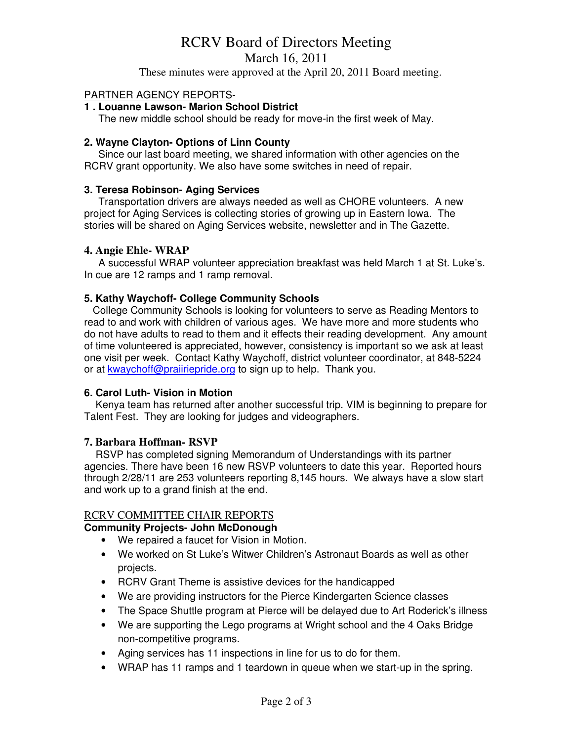# RCRV Board of Directors Meeting

March 16, 2011

These minutes were approved at the April 20, 2011 Board meeting.

#### PARTNER AGENCY REPORTS-

### **1 . Louanne Lawson- Marion School District**

The new middle school should be ready for move-in the first week of May.

#### **2. Wayne Clayton- Options of Linn County**

 Since our last board meeting, we shared information with other agencies on the RCRV grant opportunity. We also have some switches in need of repair.

#### **3. Teresa Robinson- Aging Services**

Transportation drivers are always needed as well as CHORE volunteers. A new project for Aging Services is collecting stories of growing up in Eastern Iowa. The stories will be shared on Aging Services website, newsletter and in The Gazette.

#### **4. Angie Ehle- WRAP**

 A successful WRAP volunteer appreciation breakfast was held March 1 at St. Luke's. In cue are 12 ramps and 1 ramp removal.

#### **5. Kathy Waychoff- College Community Schools**

College Community Schools is looking for volunteers to serve as Reading Mentors to read to and work with children of various ages. We have more and more students who do not have adults to read to them and it effects their reading development. Any amount of time volunteered is appreciated, however, consistency is important so we ask at least one visit per week. Contact Kathy Waychoff, district volunteer coordinator, at 848-5224 or at **kwaychoff@praiiriepride.org** to sign up to help. Thank you.

#### **6. Carol Luth- Vision in Motion**

 Kenya team has returned after another successful trip. VIM is beginning to prepare for Talent Fest. They are looking for judges and videographers.

#### **7. Barbara Hoffman- RSVP**

 RSVP has completed signing Memorandum of Understandings with its partner agencies. There have been 16 new RSVP volunteers to date this year. Reported hours through 2/28/11 are 253 volunteers reporting 8,145 hours. We always have a slow start and work up to a grand finish at the end.

#### RCRV COMMITTEE CHAIR REPORTS

#### **Community Projects- John McDonough**

- We repaired a faucet for Vision in Motion.
- We worked on St Luke's Witwer Children's Astronaut Boards as well as other projects.
- RCRV Grant Theme is assistive devices for the handicapped
- We are providing instructors for the Pierce Kindergarten Science classes
- The Space Shuttle program at Pierce will be delayed due to Art Roderick's illness
- We are supporting the Lego programs at Wright school and the 4 Oaks Bridge non-competitive programs.
- Aging services has 11 inspections in line for us to do for them.
- WRAP has 11 ramps and 1 teardown in queue when we start-up in the spring.